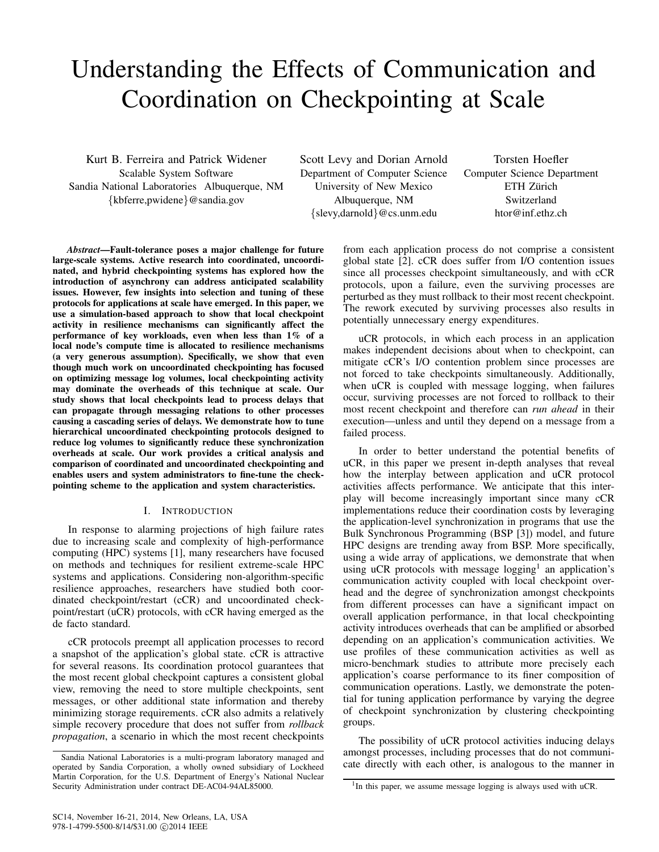# Understanding the Effects of Communication and Coordination on Checkpointing at Scale

Kurt B. Ferreira and Patrick Widener Scalable System Software Sandia National Laboratories Albuquerque, NM {kbferre,pwidene}@sandia.gov

Scott Levy and Dorian Arnold Department of Computer Science University of New Mexico Albuquerque, NM {slevy,darnold}@cs.unm.edu

Torsten Hoefler Computer Science Department ETH Zürich Switzerland htor@inf.ethz.ch

*Abstract*—Fault-tolerance poses a major challenge for future large-scale systems. Active research into coordinated, uncoordinated, and hybrid checkpointing systems has explored how the introduction of asynchrony can address anticipated scalability issues. However, few insights into selection and tuning of these protocols for applications at scale have emerged. In this paper, we use a simulation-based approach to show that local checkpoint activity in resilience mechanisms can significantly affect the performance of key workloads, even when less than 1% of a local node's compute time is allocated to resilience mechanisms (a very generous assumption). Specifically, we show that even though much work on uncoordinated checkpointing has focused on optimizing message log volumes, local checkpointing activity may dominate the overheads of this technique at scale. Our study shows that local checkpoints lead to process delays that can propagate through messaging relations to other processes causing a cascading series of delays. We demonstrate how to tune hierarchical uncoordinated checkpointing protocols designed to reduce log volumes to significantly reduce these synchronization overheads at scale. Our work provides a critical analysis and comparison of coordinated and uncoordinated checkpointing and enables users and system administrators to fine-tune the checkpointing scheme to the application and system characteristics.

# I. INTRODUCTION

In response to alarming projections of high failure rates due to increasing scale and complexity of high-performance computing (HPC) systems [1], many researchers have focused on methods and techniques for resilient extreme-scale HPC systems and applications. Considering non-algorithm-specific resilience approaches, researchers have studied both coordinated checkpoint/restart (cCR) and uncoordinated checkpoint/restart (uCR) protocols, with cCR having emerged as the de facto standard.

cCR protocols preempt all application processes to record a snapshot of the application's global state. cCR is attractive for several reasons. Its coordination protocol guarantees that the most recent global checkpoint captures a consistent global view, removing the need to store multiple checkpoints, sent messages, or other additional state information and thereby minimizing storage requirements. cCR also admits a relatively simple recovery procedure that does not suffer from *rollback propagation*, a scenario in which the most recent checkpoints from each application process do not comprise a consistent global state [2]. cCR does suffer from I/O contention issues since all processes checkpoint simultaneously, and with cCR protocols, upon a failure, even the surviving processes are perturbed as they must rollback to their most recent checkpoint. The rework executed by surviving processes also results in potentially unnecessary energy expenditures.

uCR protocols, in which each process in an application makes independent decisions about when to checkpoint, can mitigate cCR's I/O contention problem since processes are not forced to take checkpoints simultaneously. Additionally, when uCR is coupled with message logging, when failures occur, surviving processes are not forced to rollback to their most recent checkpoint and therefore can *run ahead* in their execution—unless and until they depend on a message from a failed process.

In order to better understand the potential benefits of uCR, in this paper we present in-depth analyses that reveal how the interplay between application and uCR protocol activities affects performance. We anticipate that this interplay will become increasingly important since many cCR implementations reduce their coordination costs by leveraging the application-level synchronization in programs that use the Bulk Synchronous Programming (BSP [3]) model, and future HPC designs are trending away from BSP. More specifically, using a wide array of applications, we demonstrate that when using uCR protocols with message logging<sup>1</sup> an application's communication activity coupled with local checkpoint overhead and the degree of synchronization amongst checkpoints from different processes can have a significant impact on overall application performance, in that local checkpointing activity introduces overheads that can be amplified or absorbed depending on an application's communication activities. We use profiles of these communication activities as well as micro-benchmark studies to attribute more precisely each application's coarse performance to its finer composition of communication operations. Lastly, we demonstrate the potential for tuning application performance by varying the degree of checkpoint synchronization by clustering checkpointing groups.

The possibility of uCR protocol activities inducing delays amongst processes, including processes that do not communicate directly with each other, is analogous to the manner in

Sandia National Laboratories is a multi-program laboratory managed and operated by Sandia Corporation, a wholly owned subsidiary of Lockheed Martin Corporation, for the U.S. Department of Energy's National Nuclear Security Administration under contract DE-AC04-94AL85000.

<sup>&</sup>lt;sup>1</sup>In this paper, we assume message logging is always used with uCR.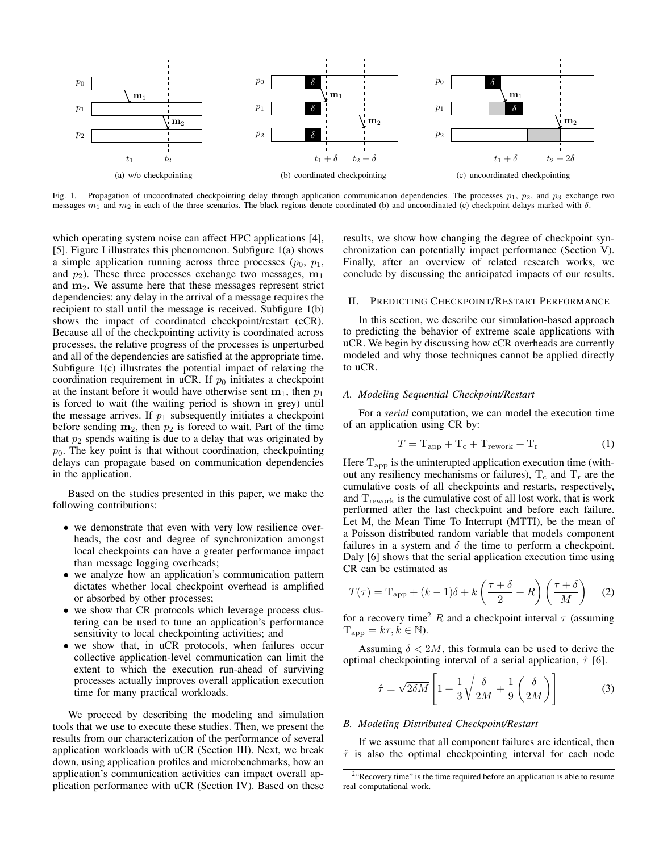

Fig. 1. Propagation of uncoordinated checkpointing delay through application communication dependencies. The processes  $p_1$ ,  $p_2$ , and  $p_3$  exchange two messages  $m_1$  and  $m_2$  in each of the three scenarios. The black regions denote coordinated (b) and uncoordinated (c) checkpoint delays marked with  $\delta$ .

which operating system noise can affect HPC applications [4], [5]. Figure I illustrates this phenomenon. Subfigure 1(a) shows a simple application running across three processes  $(p_0, p_1,$ and  $p_2$ ). These three processes exchange two messages,  $m_1$ and  $m_2$ . We assume here that these messages represent strict dependencies: any delay in the arrival of a message requires the recipient to stall until the message is received. Subfigure 1(b) shows the impact of coordinated checkpoint/restart (cCR). Because all of the checkpointing activity is coordinated across processes, the relative progress of the processes is unperturbed and all of the dependencies are satisfied at the appropriate time. Subfigure 1(c) illustrates the potential impact of relaxing the coordination requirement in uCR. If  $p_0$  initiates a checkpoint at the instant before it would have otherwise sent  $m_1$ , then  $p_1$ is forced to wait (the waiting period is shown in grey) until the message arrives. If  $p_1$  subsequently initiates a checkpoint before sending  $m_2$ , then  $p_2$  is forced to wait. Part of the time that  $p_2$  spends waiting is due to a delay that was originated by  $p<sub>0</sub>$ . The key point is that without coordination, checkpointing delays can propagate based on communication dependencies in the application.

Based on the studies presented in this paper, we make the following contributions:

- we demonstrate that even with very low resilience overheads, the cost and degree of synchronization amongst local checkpoints can have a greater performance impact than message logging overheads;
- we analyze how an application's communication pattern dictates whether local checkpoint overhead is amplified or absorbed by other processes;
- we show that CR protocols which leverage process clustering can be used to tune an application's performance sensitivity to local checkpointing activities; and
- we show that, in uCR protocols, when failures occur collective application-level communication can limit the extent to which the execution run-ahead of surviving processes actually improves overall application execution time for many practical workloads.

We proceed by describing the modeling and simulation tools that we use to execute these studies. Then, we present the results from our characterization of the performance of several application workloads with uCR (Section III). Next, we break down, using application profiles and microbenchmarks, how an application's communication activities can impact overall application performance with uCR (Section IV). Based on these results, we show how changing the degree of checkpoint synchronization can potentially impact performance (Section V). Finally, after an overview of related research works, we conclude by discussing the anticipated impacts of our results.

# II. PREDICTING CHECKPOINT/RESTART PERFORMANCE

In this section, we describe our simulation-based approach to predicting the behavior of extreme scale applications with uCR. We begin by discussing how cCR overheads are currently modeled and why those techniques cannot be applied directly to uCR.

#### *A. Modeling Sequential Checkpoint/Restart*

For a *serial* computation, we can model the execution time of an application using CR by:

$$
T = T_{\text{app}} + T_{\text{c}} + T_{\text{rework}} + T_{\text{r}} \tag{1}
$$

Here  $T_{\text{app}}$  is the uninterupted application execution time (without any resiliency mechanisms or failures),  $T_c$  and  $T_r$  are the cumulative costs of all checkpoints and restarts, respectively, and  $T_{\text{rework}}$  is the cumulative cost of all lost work, that is work performed after the last checkpoint and before each failure. Let M, the Mean Time To Interrupt (MTTI), be the mean of a Poisson distributed random variable that models component failures in a system and  $\delta$  the time to perform a checkpoint. Daly [6] shows that the serial application execution time using CR can be estimated as

$$
T(\tau) = \mathcal{T}_{\text{app}} + (k - 1)\delta + k\left(\frac{\tau + \delta}{2} + R\right)\left(\frac{\tau + \delta}{M}\right) \tag{2}
$$

for a recovery time<sup>2</sup> R and a checkpoint interval  $\tau$  (assuming  $T_{\text{app}} = k\tau, k \in \mathbb{N}.$ 

Assuming  $\delta < 2M$ , this formula can be used to derive the optimal checkpointing interval of a serial application,  $\hat{\tau}$  [6].

$$
\hat{\tau} = \sqrt{2\delta M} \left[ 1 + \frac{1}{3} \sqrt{\frac{\delta}{2M}} + \frac{1}{9} \left( \frac{\delta}{2M} \right) \right]
$$
(3)

## *B. Modeling Distributed Checkpoint/Restart*

If we assume that all component failures are identical, then  $\hat{\tau}$  is also the optimal checkpointing interval for each node

<sup>&</sup>lt;sup>2</sup> "Recovery time" is the time required before an application is able to resume real computational work.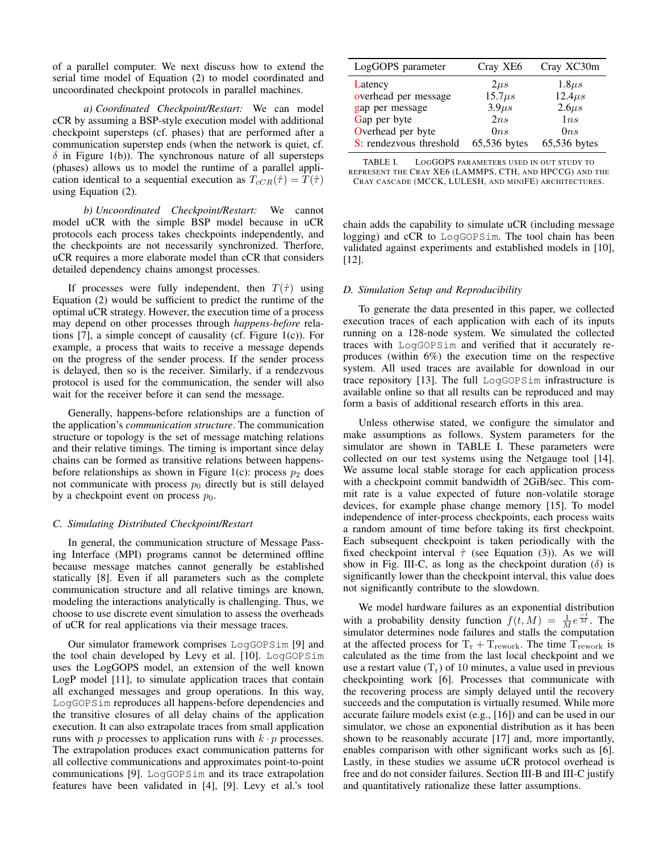of a parallel computer. We next discuss how to extend the serial time model of Equation (2) to model coordinated and uncoordinated checkpoint protocols in parallel machines.

*a) Coordinated Checkpoint/Restart:* We can model cCR by assuming a BSP-style execution model with additional checkpoint supersteps (cf. phases) that are performed after a communication superstep ends (when the network is quiet, cf.  $\delta$  in Figure 1(b)). The synchronous nature of all supersteps (phases) allows us to model the runtime of a parallel application identical to a sequential execution as  $T_{cCR}(\hat{\tau}) = T(\hat{\tau})$ using Equation (2).

*b) Uncoordinated Checkpoint/Restart:* We cannot model uCR with the simple BSP model because in uCR protocols each process takes checkpoints independently, and the checkpoints are not necessarily synchronized. Therfore, uCR requires a more elaborate model than cCR that considers detailed dependency chains amongst processes.

If processes were fully independent, then  $T(\hat{\tau})$  using Equation (2) would be sufficient to predict the runtime of the optimal uCR strategy. However, the execution time of a process may depend on other processes through *happens-before* relations [7], a simple concept of causality (cf. Figure 1(c)). For example, a process that waits to receive a message depends on the progress of the sender process. If the sender process is delayed, then so is the receiver. Similarly, if a rendezvous protocol is used for the communication, the sender will also wait for the receiver before it can send the message.

Generally, happens-before relationships are a function of the application's *communication structure*. The communication structure or topology is the set of message matching relations and their relative timings. The timing is important since delay chains can be formed as transitive relations between happensbefore relationships as shown in Figure 1(c): process  $p_2$  does not communicate with process  $p_0$  directly but is still delayed by a checkpoint event on process  $p_0$ .

#### *C. Simulating Distributed Checkpoint/Restart*

In general, the communication structure of Message Passing Interface (MPI) programs cannot be determined offline because message matches cannot generally be established statically [8]. Even if all parameters such as the complete communication structure and all relative timings are known, modeling the interactions analytically is challenging. Thus, we choose to use discrete event simulation to assess the overheads of uCR for real applications via their message traces.

Our simulator framework comprises LogGOPSim [9] and the tool chain developed by Levy et al. [10]. LogGOPSim uses the LogGOPS model, an extension of the well known LogP model [11], to simulate application traces that contain all exchanged messages and group operations. In this way, LogGOPSim reproduces all happens-before dependencies and the transitive closures of all delay chains of the application execution. It can also extrapolate traces from small application runs with p processes to application runs with  $k \cdot p$  processes. The extrapolation produces exact communication patterns for all collective communications and approximates point-to-point communications [9]. LogGOPSim and its trace extrapolation features have been validated in [4], [9]. Levy et al.'s tool

| LogGOPS parameter       | Cray XE6        | Cray XC30m      |
|-------------------------|-----------------|-----------------|
| Latency                 | $2\mu s$        | $1.8 \mu s$     |
| overhead per message    | $15.7 \mu s$    | $12.4\mu s$     |
| gap per message         | $3.9 \mu s$     | $2.6 \mu s$     |
| Gap per byte            | 2ns             | 1ns             |
| Overhead per byte       | 0 <sub>ns</sub> | 0 <sub>ns</sub> |
| S: rendezvous threshold | 65,536 bytes    | 65,536 bytes    |

| TABLE L | LOGGOPS PARAMETERS USED IN OUT STUDY TO                 |
|---------|---------------------------------------------------------|
|         | REPRESENT THE CRAY XE6 (LAMMPS, CTH, AND HPCCG) AND THE |
|         | CRAY CASCADE (MCCK, LULESH, AND MINIFE) ARCHITECTURES.  |

chain adds the capability to simulate uCR (including message logging) and cCR to LogGOPSim. The tool chain has been validated against experiments and established models in [10], [12].

## *D. Simulation Setup and Reproducibility*

To generate the data presented in this paper, we collected execution traces of each application with each of its inputs running on a 128-node system. We simulated the collected traces with LogGOPSim and verified that it accurately reproduces (within 6%) the execution time on the respective system. All used traces are available for download in our trace repository [13]. The full LogGOPSim infrastructure is available online so that all results can be reproduced and may form a basis of additional research efforts in this area.

Unless otherwise stated, we configure the simulator and make assumptions as follows. System parameters for the simulator are shown in TABLE I. These parameters were collected on our test systems using the Netgauge tool [14]. We assume local stable storage for each application process with a checkpoint commit bandwidth of 2GiB/sec. This commit rate is a value expected of future non-volatile storage devices, for example phase change memory [15]. To model independence of inter-process checkpoints, each process waits a random amount of time before taking its first checkpoint. Each subsequent checkpoint is taken periodically with the fixed checkpoint interval  $\hat{\tau}$  (see Equation (3)). As we will show in Fig. III-C, as long as the checkpoint duration  $(\delta)$  is significantly lower than the checkpoint interval, this value does not significantly contribute to the slowdown.

We model hardware failures as an exponential distribution with a probability density function  $f(t, M) = \frac{1}{M} e^{\frac{-t}{M}}$ . The simulator determines node failures and stalls the computation at the affected process for  $T_r + T_{\text{rework}}$ . The time  $T_{\text{rework}}$  is calculated as the time from the last local checkpoint and we use a restart value  $(T_r)$  of 10 minutes, a value used in previous checkpointing work [6]. Processes that communicate with the recovering process are simply delayed until the recovery succeeds and the computation is virtually resumed. While more accurate failure models exist (e.g., [16]) and can be used in our simulator, we chose an exponential distribution as it has been shown to be reasonably accurate [17] and, more importantly, enables comparison with other significant works such as [6]. Lastly, in these studies we assume uCR protocol overhead is free and do not consider failures. Section III-B and III-C justify and quantitatively rationalize these latter assumptions.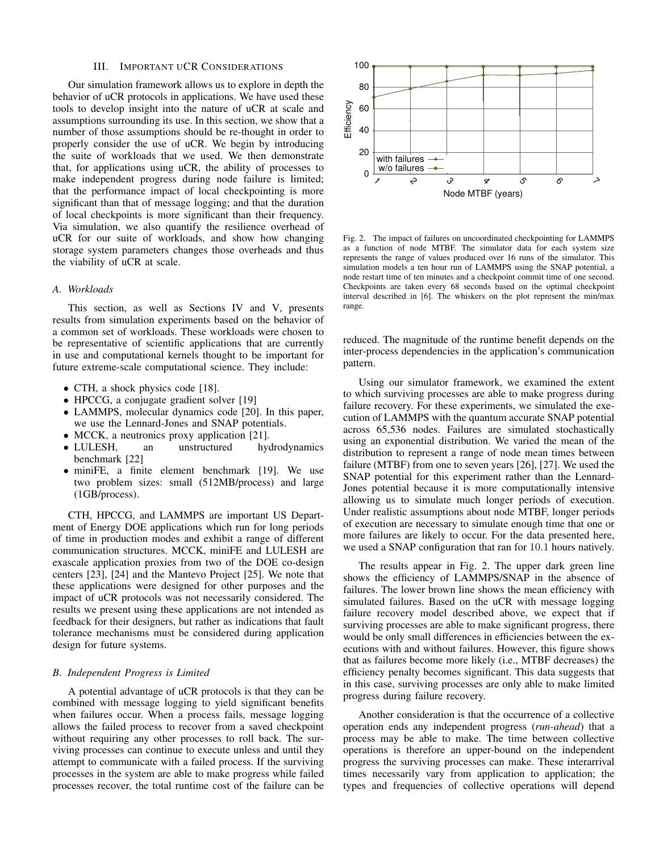## III. IMPORTANT UCR CONSIDERATIONS

Our simulation framework allows us to explore in depth the behavior of uCR protocols in applications. We have used these tools to develop insight into the nature of uCR at scale and assumptions surrounding its use. In this section, we show that a number of those assumptions should be re-thought in order to properly consider the use of uCR. We begin by introducing the suite of workloads that we used. We then demonstrate that, for applications using uCR, the ability of processes to make independent progress during node failure is limited; that the performance impact of local checkpointing is more significant than that of message logging; and that the duration of local checkpoints is more significant than their frequency. Via simulation, we also quantify the resilience overhead of uCR for our suite of workloads, and show how changing storage system parameters changes those overheads and thus the viability of uCR at scale.

## *A. Workloads*

This section, as well as Sections IV and V, presents results from simulation experiments based on the behavior of a common set of workloads. These workloads were chosen to be representative of scientific applications that are currently in use and computational kernels thought to be important for future extreme-scale computational science. They include:

- CTH, a shock physics code [18].
- HPCCG, a conjugate gradient solver [19]
- LAMMPS, molecular dynamics code [20]. In this paper, we use the Lennard-Jones and SNAP potentials.
- MCCK, a neutronics proxy application [21].
- LULESH, an unstructured hydrodynamics benchmark [22]
- miniFE, a finite element benchmark [19]. We use two problem sizes: small (512MB/process) and large (1GB/process).

CTH, HPCCG, and LAMMPS are important US Department of Energy DOE applications which run for long periods of time in production modes and exhibit a range of different communication structures. MCCK, miniFE and LULESH are exascale application proxies from two of the DOE co-design centers [23], [24] and the Mantevo Project [25]. We note that these applications were designed for other purposes and the impact of uCR protocols was not necessarily considered. The results we present using these applications are not intended as feedback for their designers, but rather as indications that fault tolerance mechanisms must be considered during application design for future systems.

# *B. Independent Progress is Limited*

A potential advantage of uCR protocols is that they can be combined with message logging to yield significant benefits when failures occur. When a process fails, message logging allows the failed process to recover from a saved checkpoint without requiring any other processes to roll back. The surviving processes can continue to execute unless and until they attempt to communicate with a failed process. If the surviving processes in the system are able to make progress while failed processes recover, the total runtime cost of the failure can be



Fig. 2. The impact of failures on uncoordinated checkpointing for LAMMPS as a function of node MTBF. The simulator data for each system size represents the range of values produced over 16 runs of the simulator. This simulation models a ten hour run of LAMMPS using the SNAP potential, a node restart time of ten minutes and a checkpoint commit time of one second. Checkpoints are taken every 68 seconds based on the optimal checkpoint interval described in [6]. The whiskers on the plot represent the min/max range.

reduced. The magnitude of the runtime benefit depends on the inter-process dependencies in the application's communication pattern.

Using our simulator framework, we examined the extent to which surviving processes are able to make progress during failure recovery. For these experiments, we simulated the execution of LAMMPS with the quantum accurate SNAP potential across 65,536 nodes. Failures are simulated stochastically using an exponential distribution. We varied the mean of the distribution to represent a range of node mean times between failure (MTBF) from one to seven years [26], [27]. We used the SNAP potential for this experiment rather than the Lennard-Jones potential because it is more computationally intensive allowing us to simulate much longer periods of execution. Under realistic assumptions about node MTBF, longer periods of execution are necessary to simulate enough time that one or more failures are likely to occur. For the data presented here, we used a SNAP configuration that ran for 10.1 hours natively.

The results appear in Fig. 2. The upper dark green line shows the efficiency of LAMMPS/SNAP in the absence of failures. The lower brown line shows the mean efficiency with simulated failures. Based on the uCR with message logging failure recovery model described above, we expect that if surviving processes are able to make significant progress, there would be only small differences in efficiencies between the executions with and without failures. However, this figure shows that as failures become more likely (i.e., MTBF decreases) the efficiency penalty becomes significant. This data suggests that in this case, surviving processes are only able to make limited progress during failure recovery.

Another consideration is that the occurrence of a collective operation ends any independent progress (*run-ahead*) that a process may be able to make. The time between collective operations is therefore an upper-bound on the independent progress the surviving processes can make. These interarrival times necessarily vary from application to application; the types and frequencies of collective operations will depend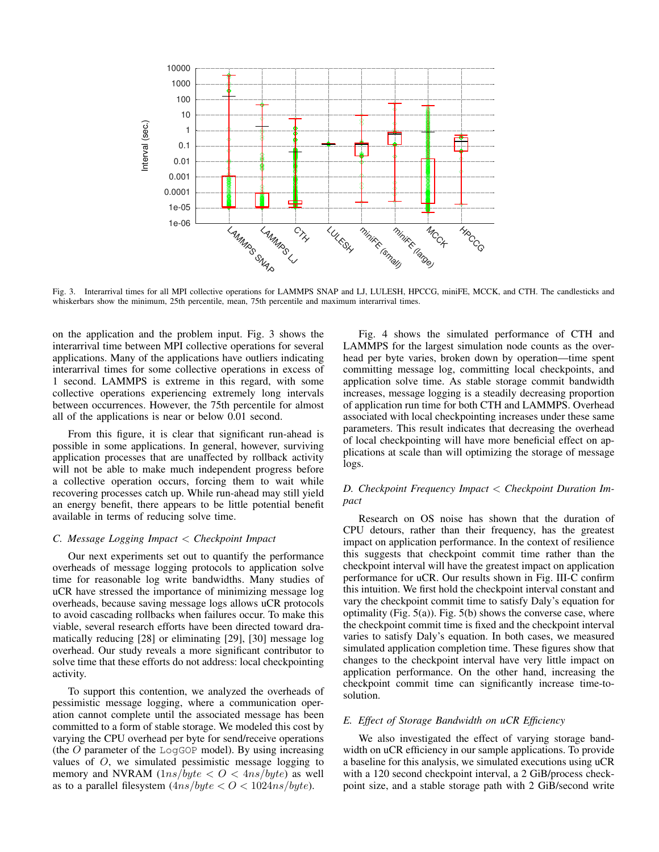

Fig. 3. Interarrival times for all MPI collective operations for LAMMPS SNAP and LJ, LULESH, HPCCG, miniFE, MCCK, and CTH. The candlesticks and whiskerbars show the minimum, 25th percentile, mean, 75th percentile and maximum interarrival times.

on the application and the problem input. Fig. 3 shows the interarrival time between MPI collective operations for several applications. Many of the applications have outliers indicating interarrival times for some collective operations in excess of 1 second. LAMMPS is extreme in this regard, with some collective operations experiencing extremely long intervals between occurrences. However, the 75th percentile for almost all of the applications is near or below 0.01 second.

From this figure, it is clear that significant run-ahead is possible in some applications. In general, however, surviving application processes that are unaffected by rollback activity will not be able to make much independent progress before a collective operation occurs, forcing them to wait while recovering processes catch up. While run-ahead may still yield an energy benefit, there appears to be little potential benefit available in terms of reducing solve time.

#### *C. Message Logging Impact* < *Checkpoint Impact*

Our next experiments set out to quantify the performance overheads of message logging protocols to application solve time for reasonable log write bandwidths. Many studies of uCR have stressed the importance of minimizing message log overheads, because saving message logs allows uCR protocols to avoid cascading rollbacks when failures occur. To make this viable, several research efforts have been directed toward dramatically reducing [28] or eliminating [29], [30] message log overhead. Our study reveals a more significant contributor to solve time that these efforts do not address: local checkpointing activity.

To support this contention, we analyzed the overheads of pessimistic message logging, where a communication operation cannot complete until the associated message has been committed to a form of stable storage. We modeled this cost by varying the CPU overhead per byte for send/receive operations (the  $O$  parameter of the LogGOP model). By using increasing values of O, we simulated pessimistic message logging to memory and NVRAM  $(1ns/byte < O < 4ns/byte)$  as well as to a parallel filesystem  $(4ns/byte < O < 1024ns/byte)$ .

Fig. 4 shows the simulated performance of CTH and LAMMPS for the largest simulation node counts as the overhead per byte varies, broken down by operation—time spent committing message log, committing local checkpoints, and application solve time. As stable storage commit bandwidth increases, message logging is a steadily decreasing proportion of application run time for both CTH and LAMMPS. Overhead associated with local checkpointing increases under these same parameters. This result indicates that decreasing the overhead of local checkpointing will have more beneficial effect on applications at scale than will optimizing the storage of message logs.

# *D. Checkpoint Frequency Impact* < *Checkpoint Duration Impact*

Research on OS noise has shown that the duration of CPU detours, rather than their frequency, has the greatest impact on application performance. In the context of resilience this suggests that checkpoint commit time rather than the checkpoint interval will have the greatest impact on application performance for uCR. Our results shown in Fig. III-C confirm this intuition. We first hold the checkpoint interval constant and vary the checkpoint commit time to satisfy Daly's equation for optimality (Fig.  $5(a)$ ). Fig.  $5(b)$  shows the converse case, where the checkpoint commit time is fixed and the checkpoint interval varies to satisfy Daly's equation. In both cases, we measured simulated application completion time. These figures show that changes to the checkpoint interval have very little impact on application performance. On the other hand, increasing the checkpoint commit time can significantly increase time-tosolution.

# *E. Effect of Storage Bandwidth on uCR Efficiency*

We also investigated the effect of varying storage bandwidth on uCR efficiency in our sample applications. To provide a baseline for this analysis, we simulated executions using uCR with a 120 second checkpoint interval, a 2 GiB/process checkpoint size, and a stable storage path with 2 GiB/second write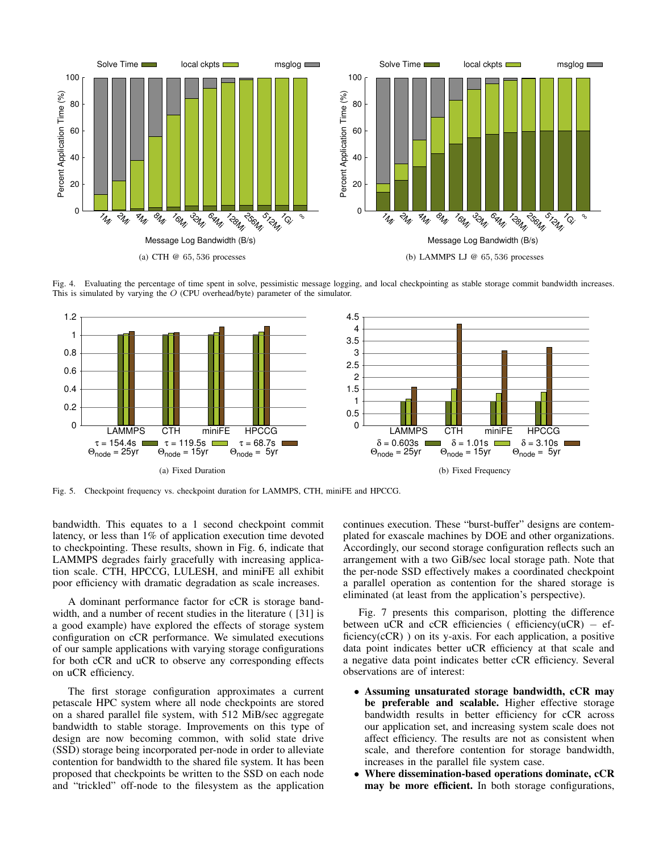

Fig. 4. Evaluating the percentage of time spent in solve, pessimistic message logging, and local checkpointing as stable storage commit bandwidth increases. This is simulated by varying the O (CPU overhead/byte) parameter of the simulator.



Fig. 5. Checkpoint frequency vs. checkpoint duration for LAMMPS, CTH, miniFE and HPCCG.

bandwidth. This equates to a 1 second checkpoint commit latency, or less than 1% of application execution time devoted to checkpointing. These results, shown in Fig. 6, indicate that LAMMPS degrades fairly gracefully with increasing application scale. CTH, HPCCG, LULESH, and miniFE all exhibit poor efficiency with dramatic degradation as scale increases.

A dominant performance factor for cCR is storage bandwidth, and a number of recent studies in the literature ( [31] is a good example) have explored the effects of storage system configuration on cCR performance. We simulated executions of our sample applications with varying storage configurations for both cCR and uCR to observe any corresponding effects on uCR efficiency.

The first storage configuration approximates a current petascale HPC system where all node checkpoints are stored on a shared parallel file system, with 512 MiB/sec aggregate bandwidth to stable storage. Improvements on this type of design are now becoming common, with solid state drive (SSD) storage being incorporated per-node in order to alleviate contention for bandwidth to the shared file system. It has been proposed that checkpoints be written to the SSD on each node and "trickled" off-node to the filesystem as the application

continues execution. These "burst-buffer" designs are contemplated for exascale machines by DOE and other organizations. Accordingly, our second storage configuration reflects such an arrangement with a two GiB/sec local storage path. Note that the per-node SSD effectively makes a coordinated checkpoint a parallel operation as contention for the shared storage is eliminated (at least from the application's perspective).

Fig. 7 presents this comparison, plotting the difference between uCR and cCR efficiencies ( efficiency(uCR)  $-$  efficiency(cCR) ) on its y-axis. For each application, a positive data point indicates better uCR efficiency at that scale and a negative data point indicates better cCR efficiency. Several observations are of interest:

- Assuming unsaturated storage bandwidth, cCR may be preferable and scalable. Higher effective storage bandwidth results in better efficiency for cCR across our application set, and increasing system scale does not affect efficiency. The results are not as consistent when scale, and therefore contention for storage bandwidth, increases in the parallel file system case.
- Where dissemination-based operations dominate, cCR may be more efficient. In both storage configurations,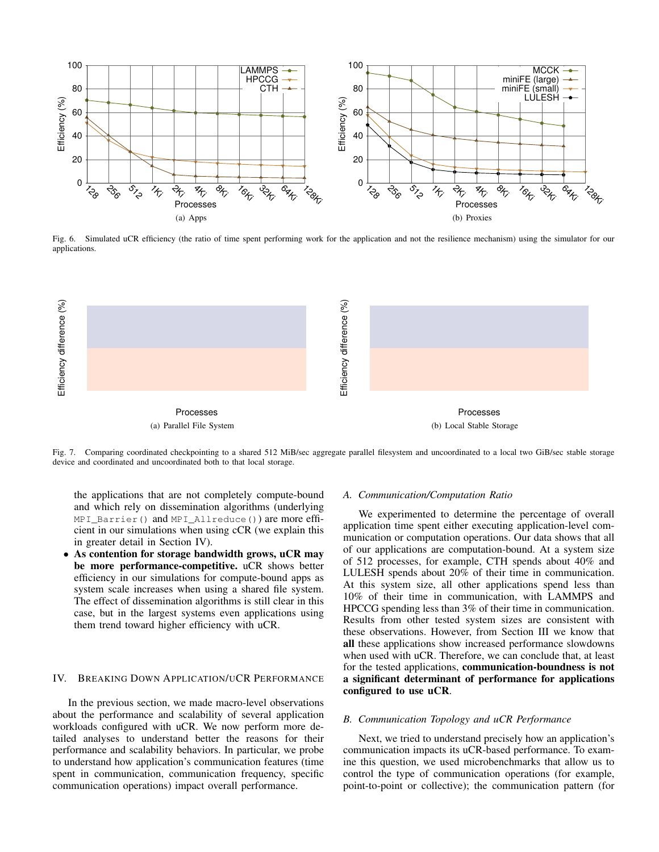

Fig. 6. Simulated uCR efficiency (the ratio of time spent performing work for the application and not the resilience mechanism) using the simulator for our applications.



Fig. 7. Comparing coordinated checkpointing to a shared 512 MiB/sec aggregate parallel filesystem and uncoordinated to a local two GiB/sec stable storage device and coordinated and uncoordinated both to that local storage.

the applications that are not completely compute-bound and which rely on dissemination algorithms (underlying MPI\_Barrier() and MPI\_Allreduce()) are more efficient in our simulations when using cCR (we explain this in greater detail in Section IV).

• As contention for storage bandwidth grows, uCR may be more performance-competitive. uCR shows better efficiency in our simulations for compute-bound apps as system scale increases when using a shared file system. The effect of dissemination algorithms is still clear in this case, but in the largest systems even applications using them trend toward higher efficiency with uCR.

#### IV. BREAKING DOWN APPLICATION/UCR PERFORMANCE

In the previous section, we made macro-level observations about the performance and scalability of several application workloads configured with uCR. We now perform more detailed analyses to understand better the reasons for their performance and scalability behaviors. In particular, we probe to understand how application's communication features (time spent in communication, communication frequency, specific communication operations) impact overall performance.

## *A. Communication/Computation Ratio*

We experimented to determine the percentage of overall application time spent either executing application-level communication or computation operations. Our data shows that all of our applications are computation-bound. At a system size of 512 processes, for example, CTH spends about 40% and LULESH spends about 20% of their time in communication. At this system size, all other applications spend less than 10% of their time in communication, with LAMMPS and HPCCG spending less than 3% of their time in communication. Results from other tested system sizes are consistent with these observations. However, from Section III we know that all these applications show increased performance slowdowns when used with uCR. Therefore, we can conclude that, at least for the tested applications, communication-boundness is not a significant determinant of performance for applications configured to use uCR.

#### *B. Communication Topology and uCR Performance*

Next, we tried to understand precisely how an application's communication impacts its uCR-based performance. To examine this question, we used microbenchmarks that allow us to control the type of communication operations (for example, point-to-point or collective); the communication pattern (for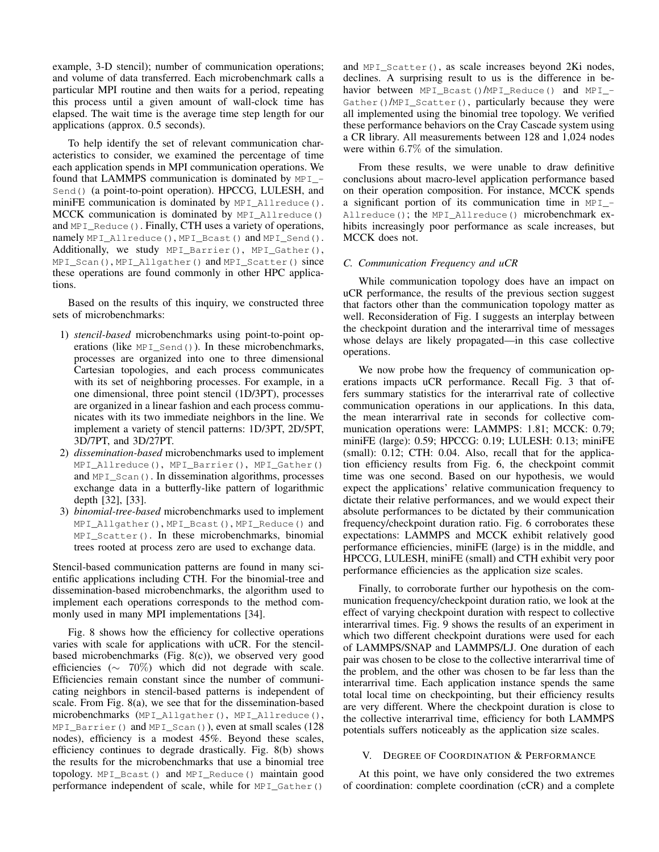example, 3-D stencil); number of communication operations; and volume of data transferred. Each microbenchmark calls a particular MPI routine and then waits for a period, repeating this process until a given amount of wall-clock time has elapsed. The wait time is the average time step length for our applications (approx. 0.5 seconds).

To help identify the set of relevant communication characteristics to consider, we examined the percentage of time each application spends in MPI communication operations. We found that LAMMPS communication is dominated by MPI\_- Send() (a point-to-point operation). HPCCG, LULESH, and miniFE communication is dominated by MPI\_Allreduce(). MCCK communication is dominated by MPI\_Allreduce() and MPI\_Reduce(). Finally, CTH uses a variety of operations, namely MPI\_Allreduce(), MPI\_Bcast() and MPI\_Send(). Additionally, we study MPI\_Barrier(), MPI\_Gather(), MPI\_Scan(), MPI\_Allgather() and MPI\_Scatter() since these operations are found commonly in other HPC applications.

Based on the results of this inquiry, we constructed three sets of microbenchmarks:

- 1) *stencil-based* microbenchmarks using point-to-point operations (like MPI\_Send()). In these microbenchmarks, processes are organized into one to three dimensional Cartesian topologies, and each process communicates with its set of neighboring processes. For example, in a one dimensional, three point stencil (1D/3PT), processes are organized in a linear fashion and each process communicates with its two immediate neighbors in the line. We implement a variety of stencil patterns: 1D/3PT, 2D/5PT, 3D/7PT, and 3D/27PT.
- 2) *dissemination-based* microbenchmarks used to implement MPI\_Allreduce(), MPI\_Barrier(), MPI\_Gather() and MPI\_Scan(). In dissemination algorithms, processes exchange data in a butterfly-like pattern of logarithmic depth [32], [33].
- 3) *binomial-tree-based* microbenchmarks used to implement MPI\_Allgather(), MPI\_Bcast(), MPI\_Reduce() and MPI\_Scatter(). In these microbenchmarks, binomial trees rooted at process zero are used to exchange data.

Stencil-based communication patterns are found in many scientific applications including CTH. For the binomial-tree and dissemination-based microbenchmarks, the algorithm used to implement each operations corresponds to the method commonly used in many MPI implementations [34].

Fig. 8 shows how the efficiency for collective operations varies with scale for applications with uCR. For the stencilbased microbenchmarks (Fig. 8(c)), we observed very good efficiencies (∼ 70%) which did not degrade with scale. Efficiencies remain constant since the number of communicating neighbors in stencil-based patterns is independent of scale. From Fig. 8(a), we see that for the dissemination-based microbenchmarks (MPI\_Allgather(), MPI\_Allreduce(), MPI\_Barrier() and MPI\_Scan()), even at small scales (128 nodes), efficiency is a modest 45%. Beyond these scales, efficiency continues to degrade drastically. Fig. 8(b) shows the results for the microbenchmarks that use a binomial tree topology. MPI\_Bcast() and MPI\_Reduce() maintain good performance independent of scale, while for MPI\_Gather()

and MPI\_Scatter(), as scale increases beyond 2Ki nodes, declines. A surprising result to us is the difference in behavior between MPI\_Bcast()/MPI\_Reduce() and MPI\_- Gather()/MPI\_Scatter(), particularly because they were all implemented using the binomial tree topology. We verified these performance behaviors on the Cray Cascade system using a CR library. All measurements between 128 and 1,024 nodes were within 6.7% of the simulation.

From these results, we were unable to draw definitive conclusions about macro-level application performance based on their operation composition. For instance, MCCK spends a significant portion of its communication time in MPI  $-$ Allreduce(); the MPI\_Allreduce() microbenchmark exhibits increasingly poor performance as scale increases, but MCCK does not.

# *C. Communication Frequency and uCR*

While communication topology does have an impact on uCR performance, the results of the previous section suggest that factors other than the communication topology matter as well. Reconsideration of Fig. I suggests an interplay between the checkpoint duration and the interarrival time of messages whose delays are likely propagated—in this case collective operations.

We now probe how the frequency of communication operations impacts uCR performance. Recall Fig. 3 that offers summary statistics for the interarrival rate of collective communication operations in our applications. In this data, the mean interarrival rate in seconds for collective communication operations were: LAMMPS: 1.81; MCCK: 0.79; miniFE (large): 0.59; HPCCG: 0.19; LULESH: 0.13; miniFE (small): 0.12; CTH: 0.04. Also, recall that for the application efficiency results from Fig. 6, the checkpoint commit time was one second. Based on our hypothesis, we would expect the applications' relative communication frequency to dictate their relative performances, and we would expect their absolute performances to be dictated by their communication frequency/checkpoint duration ratio. Fig. 6 corroborates these expectations: LAMMPS and MCCK exhibit relatively good performance efficiencies, miniFE (large) is in the middle, and HPCCG, LULESH, miniFE (small) and CTH exhibit very poor performance efficiencies as the application size scales.

Finally, to corroborate further our hypothesis on the communication frequency/checkpoint duration ratio, we look at the effect of varying checkpoint duration with respect to collective interarrival times. Fig. 9 shows the results of an experiment in which two different checkpoint durations were used for each of LAMMPS/SNAP and LAMMPS/LJ. One duration of each pair was chosen to be close to the collective interarrival time of the problem, and the other was chosen to be far less than the interarrival time. Each application instance spends the same total local time on checkpointing, but their efficiency results are very different. Where the checkpoint duration is close to the collective interarrival time, efficiency for both LAMMPS potentials suffers noticeably as the application size scales.

# V. DEGREE OF COORDINATION & PERFORMANCE

At this point, we have only considered the two extremes of coordination: complete coordination (cCR) and a complete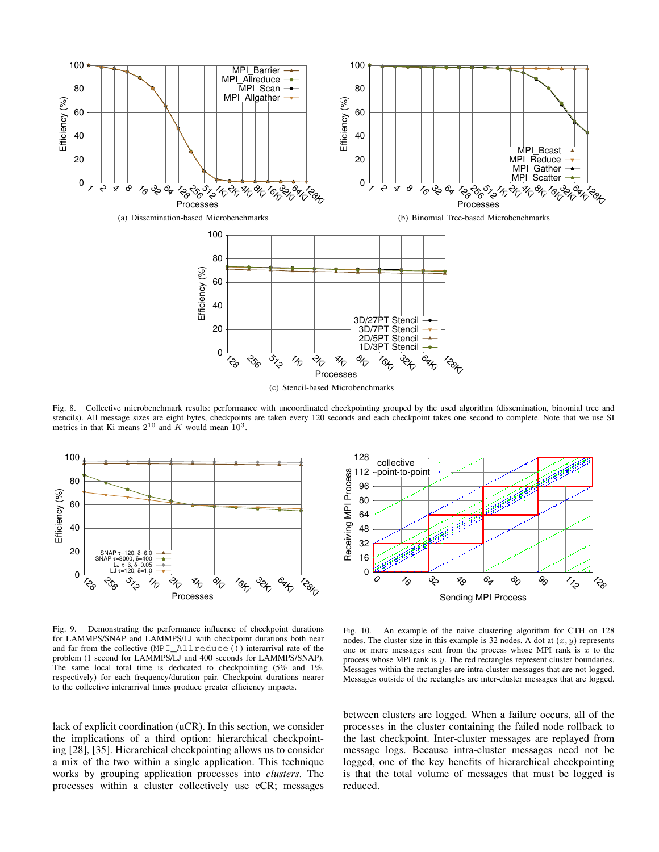

Fig. 8. Collective microbenchmark results: performance with uncoordinated checkpointing grouped by the used algorithm (dissemination, binomial tree and stencils). All message sizes are eight bytes, checkpoints are taken every 120 seconds and each checkpoint takes one second to complete. Note that we use SI metrics in that Ki means  $2^{10}$  and K would mean  $10^3$ .



Fig. 9. Demonstrating the performance influence of checkpoint durations for LAMMPS/SNAP and LAMMPS/LJ with checkpoint durations both near and far from the collective (MPI\_Allreduce()) interarrival rate of the problem (1 second for LAMMPS/LJ and 400 seconds for LAMMPS/SNAP). The same local total time is dedicated to checkpointing (5% and 1%, respectively) for each frequency/duration pair. Checkpoint durations nearer to the collective interarrival times produce greater efficiency impacts.

lack of explicit coordination (uCR). In this section, we consider the implications of a third option: hierarchical checkpointing [28], [35]. Hierarchical checkpointing allows us to consider a mix of the two within a single application. This technique works by grouping application processes into *clusters*. The processes within a cluster collectively use cCR; messages



Fig. 10. An example of the naive clustering algorithm for CTH on 128 nodes. The cluster size in this example is 32 nodes. A dot at  $(x, y)$  represents one or more messages sent from the process whose MPI rank is  $x$  to the process whose MPI rank is y. The red rectangles represent cluster boundaries. Messages within the rectangles are intra-cluster messages that are not logged. Messages outside of the rectangles are inter-cluster messages that are logged.

between clusters are logged. When a failure occurs, all of the processes in the cluster containing the failed node rollback to the last checkpoint. Inter-cluster messages are replayed from message logs. Because intra-cluster messages need not be logged, one of the key benefits of hierarchical checkpointing is that the total volume of messages that must be logged is reduced.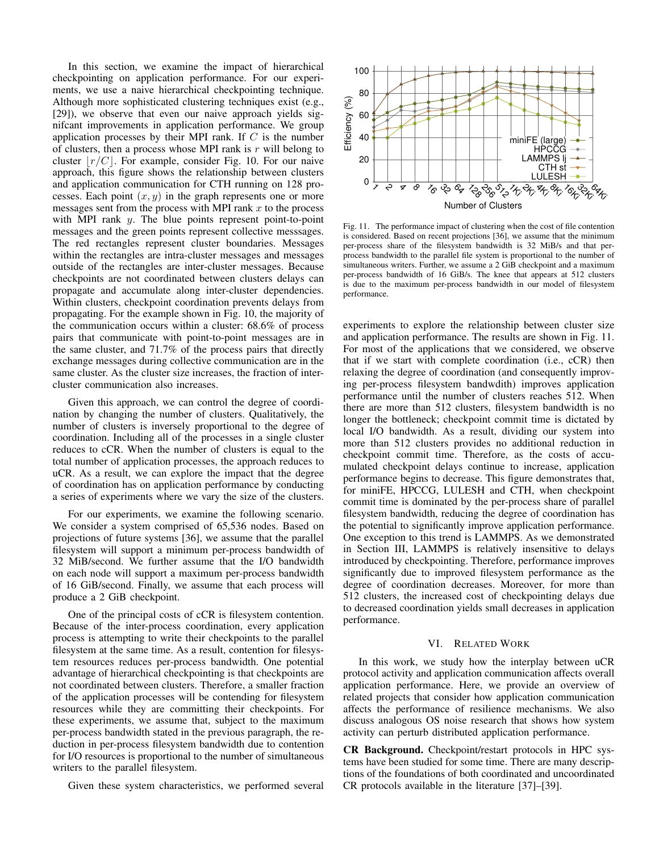In this section, we examine the impact of hierarchical checkpointing on application performance. For our experiments, we use a naive hierarchical checkpointing technique. Although more sophisticated clustering techniques exist (e.g., [29]), we observe that even our naive approach yields signifcant improvements in application performance. We group application processes by their MPI rank. If  $C$  is the number of clusters, then a process whose MPI rank is  $r$  will belong to cluster  $|r/C|$ . For example, consider Fig. 10. For our naive approach, this figure shows the relationship between clusters and application communication for CTH running on 128 processes. Each point  $(x, y)$  in the graph represents one or more messages sent from the process with MPI rank  $x$  to the process with MPI rank  $y$ . The blue points represent point-to-point messages and the green points represent collective messsages. The red rectangles represent cluster boundaries. Messages within the rectangles are intra-cluster messages and messages outside of the rectangles are inter-cluster messages. Because checkpoints are not coordinated between clusters delays can propagate and accumulate along inter-cluster dependencies. Within clusters, checkpoint coordination prevents delays from propagating. For the example shown in Fig. 10, the majority of the communication occurs within a cluster: 68.6% of process pairs that communicate with point-to-point messages are in the same cluster, and 71.7% of the process pairs that directly exchange messages during collective communication are in the same cluster. As the cluster size increases, the fraction of intercluster communication also increases.

Given this approach, we can control the degree of coordination by changing the number of clusters. Qualitatively, the number of clusters is inversely proportional to the degree of coordination. Including all of the processes in a single cluster reduces to cCR. When the number of clusters is equal to the total number of application processes, the approach reduces to uCR. As a result, we can explore the impact that the degree of coordination has on application performance by conducting a series of experiments where we vary the size of the clusters.

For our experiments, we examine the following scenario. We consider a system comprised of 65,536 nodes. Based on projections of future systems [36], we assume that the parallel filesystem will support a minimum per-process bandwidth of 32 MiB/second. We further assume that the I/O bandwidth on each node will support a maximum per-process bandwidth of 16 GiB/second. Finally, we assume that each process will produce a 2 GiB checkpoint.

One of the principal costs of cCR is filesystem contention. Because of the inter-process coordination, every application process is attempting to write their checkpoints to the parallel filesystem at the same time. As a result, contention for filesystem resources reduces per-process bandwidth. One potential advantage of hierarchical checkpointing is that checkpoints are not coordinated between clusters. Therefore, a smaller fraction of the application processes will be contending for filesystem resources while they are committing their checkpoints. For these experiments, we assume that, subject to the maximum per-process bandwidth stated in the previous paragraph, the reduction in per-process filesystem bandwidth due to contention for I/O resources is proportional to the number of simultaneous writers to the parallel filesystem.

Given these system characteristics, we performed several



Fig. 11. The performance impact of clustering when the cost of file contention is considered. Based on recent projections [36], we assume that the minimum per-process share of the filesystem bandwidth is 32 MiB/s and that perprocess bandwidth to the parallel file system is proportional to the number of simultaneous writers. Further, we assume a 2 GiB checkpoint and a maximum per-process bandwidth of 16 GiB/s. The knee that appears at 512 clusters is due to the maximum per-process bandwidth in our model of filesystem performance.

experiments to explore the relationship between cluster size and application performance. The results are shown in Fig. 11. For most of the applications that we considered, we observe that if we start with complete coordination (i.e., cCR) then relaxing the degree of coordination (and consequently improving per-process filesystem bandwdith) improves application performance until the number of clusters reaches 512. When there are more than 512 clusters, filesystem bandwidth is no longer the bottleneck; checkpoint commit time is dictated by local I/O bandwidth. As a result, dividing our system into more than 512 clusters provides no additional reduction in checkpoint commit time. Therefore, as the costs of accumulated checkpoint delays continue to increase, application performance begins to decrease. This figure demonstrates that, for miniFE, HPCCG, LULESH and CTH, when checkpoint commit time is dominated by the per-process share of parallel filesystem bandwidth, reducing the degree of coordination has the potential to significantly improve application performance. One exception to this trend is LAMMPS. As we demonstrated in Section III, LAMMPS is relatively insensitive to delays introduced by checkpointing. Therefore, performance improves significantly due to improved filesystem performance as the degree of coordination decreases. Moreover, for more than 512 clusters, the increased cost of checkpointing delays due to decreased coordination yields small decreases in application performance.

#### VI. RELATED WORK

In this work, we study how the interplay between uCR protocol activity and application communication affects overall application performance. Here, we provide an overview of related projects that consider how application communication affects the performance of resilience mechanisms. We also discuss analogous OS noise research that shows how system activity can perturb distributed application performance.

CR Background. Checkpoint/restart protocols in HPC systems have been studied for some time. There are many descriptions of the foundations of both coordinated and uncoordinated CR protocols available in the literature [37]–[39].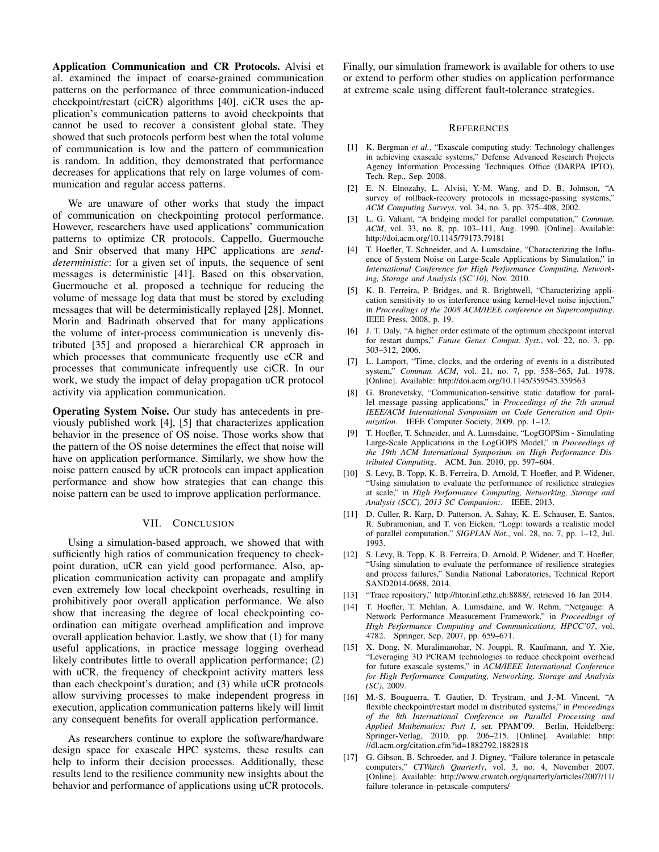Application Communication and CR Protocols. Alvisi et al. examined the impact of coarse-grained communication patterns on the performance of three communication-induced checkpoint/restart (ciCR) algorithms [40]. ciCR uses the application's communication patterns to avoid checkpoints that cannot be used to recover a consistent global state. They showed that such protocols perform best when the total volume of communication is low and the pattern of communication is random. In addition, they demonstrated that performance decreases for applications that rely on large volumes of communication and regular access patterns.

We are unaware of other works that study the impact of communication on checkpointing protocol performance. However, researchers have used applications' communication patterns to optimize CR protocols. Cappello, Guermouche and Snir observed that many HPC applications are *senddeterministic*: for a given set of inputs, the sequence of sent messages is deterministic [41]. Based on this observation, Guermouche et al. proposed a technique for reducing the volume of message log data that must be stored by excluding messages that will be deterministically replayed [28]. Monnet, Morin and Badrinath observed that for many applications the volume of inter-process communication is unevenly distributed [35] and proposed a hierarchical CR approach in which processes that communicate frequently use cCR and processes that communicate infrequently use ciCR. In our work, we study the impact of delay propagation uCR protocol activity via application communication.

Operating System Noise. Our study has antecedents in previously published work [4], [5] that characterizes application behavior in the presence of OS noise. Those works show that the pattern of the OS noise determines the effect that noise will have on application performance. Similarly, we show how the noise pattern caused by uCR protocols can impact application performance and show how strategies that can change this noise pattern can be used to improve application performance.

### VII. CONCLUSION

Using a simulation-based approach, we showed that with sufficiently high ratios of communication frequency to checkpoint duration, uCR can yield good performance. Also, application communication activity can propagate and amplify even extremely low local checkpoint overheads, resulting in prohibitively poor overall application performance. We also show that increasing the degree of local checkpointing coordination can mitigate overhead amplification and improve overall application behavior. Lastly, we show that (1) for many useful applications, in practice message logging overhead likely contributes little to overall application performance; (2) with uCR, the frequency of checkpoint activity matters less than each checkpoint's duration; and (3) while uCR protocols allow surviving processes to make independent progress in execution, application communication patterns likely will limit any consequent benefits for overall application performance.

As researchers continue to explore the software/hardware design space for exascale HPC systems, these results can help to inform their decision processes. Additionally, these results lend to the resilience community new insights about the behavior and performance of applications using uCR protocols.

Finally, our simulation framework is available for others to use or extend to perform other studies on application performance at extreme scale using different fault-tolerance strategies.

#### **REFERENCES**

- [1] K. Bergman *et al.*, "Exascale computing study: Technology challenges in achieving exascale systems," Defense Advanced Research Projects Agency Information Processing Techniques Office (DARPA IPTO), Tech. Rep., Sep. 2008.
- [2] E. N. Elnozahy, L. Alvisi, Y.-M. Wang, and D. B. Johnson, "A survey of rollback-recovery protocols in message-passing systems," *ACM Computing Surveys*, vol. 34, no. 3, pp. 375–408, 2002.
- [3] L. G. Valiant, "A bridging model for parallel computation," *Commun. ACM*, vol. 33, no. 8, pp. 103–111, Aug. 1990. [Online]. Available: http://doi.acm.org/10.1145/79173.79181
- [4] T. Hoefler, T. Schneider, and A. Lumsdaine, "Characterizing the Influence of System Noise on Large-Scale Applications by Simulation," in *International Conference for High Performance Computing, Networking, Storage and Analysis (SC'10)*, Nov. 2010.
- [5] K. B. Ferreira, P. Bridges, and R. Brightwell, "Characterizing application sensitivity to os interference using kernel-level noise injection," in *Proceedings of the 2008 ACM/IEEE conference on Supercomputing*. IEEE Press, 2008, p. 19.
- [6] J. T. Daly, "A higher order estimate of the optimum checkpoint interval for restart dumps," *Future Gener. Comput. Syst.*, vol. 22, no. 3, pp. 303–312, 2006.
- [7] L. Lamport, "Time, clocks, and the ordering of events in a distributed system," *Commun. ACM*, vol. 21, no. 7, pp. 558–565, Jul. 1978. [Online]. Available: http://doi.acm.org/10.1145/359545.359563
- [8] G. Bronevetsky, "Communication-sensitive static dataflow for parallel message passing applications," in *Proceedings of the 7th annual IEEE/ACM International Symposium on Code Generation and Optimization*. IEEE Computer Society, 2009, pp. 1–12.
- [9] T. Hoefler, T. Schneider, and A. Lumsdaine, "LogGOPSim Simulating Large-Scale Applications in the LogGOPS Model," in *Proceedings of the 19th ACM International Symposium on High Performance Distributed Computing*. ACM, Jun. 2010, pp. 597–604.
- S. Levy, B. Topp, K. B. Ferreira, D. Arnold, T. Hoefler, and P. Widener, "Using simulation to evaluate the performance of resilience strategies at scale," in *High Performance Computing, Networking, Storage and Analysis (SCC), 2013 SC Companion:*. IEEE, 2013.
- [11] D. Culler, R. Karp, D. Patterson, A. Sahay, K. E. Schauser, E. Santos, R. Subramonian, and T. von Eicken, "Logp: towards a realistic model of parallel computation," *SIGPLAN Not.*, vol. 28, no. 7, pp. 1–12, Jul. 1993.
- [12] S. Levy, B. Topp, K. B. Ferreira, D. Arnold, P. Widener, and T. Hoefler, "Using simulation to evaluate the performance of resilience strategies and process failures," Sandia National Laboratories, Technical Report SAND2014-0688, 2014.
- [13] "Trace repository," http://htor.inf.ethz.ch:8888/, retrieved 16 Jan 2014.
- [14] T. Hoefler, T. Mehlan, A. Lumsdaine, and W. Rehm, "Netgauge: A Network Performance Measurement Framework," in *Proceedings of High Performance Computing and Communications, HPCC'07*, vol. 4782. Springer, Sep. 2007, pp. 659–671.
- [15] X. Dong, N. Muralimanohar, N. Jouppi, R. Kaufmann, and Y. Xie, "Leveraging 3D PCRAM technologies to reduce checkpoint overhead for future exascale systems," in *ACM/IEEE International Conference for High Performance Computing, Networking, Storage and Analysis (SC)*, 2009.
- [16] M.-S. Bouguerra, T. Gautier, D. Trystram, and J.-M. Vincent, "A flexible checkpoint/restart model in distributed systems," in *Proceedings of the 8th International Conference on Parallel Processing and Applied Mathematics: Part I*, ser. PPAM'09. Berlin, Heidelberg: Springer-Verlag, 2010, pp. 206–215. [Online]. Available: http: //dl.acm.org/citation.cfm?id=1882792.1882818
- [17] G. Gibson, B. Schroeder, and J. Digney, "Failure tolerance in petascale computers," *CTWatch Quarterly*, vol. 3, no. 4, November 2007. [Online]. Available: http://www.ctwatch.org/quarterly/articles/2007/11/ failure-tolerance-in-petascale-computers/